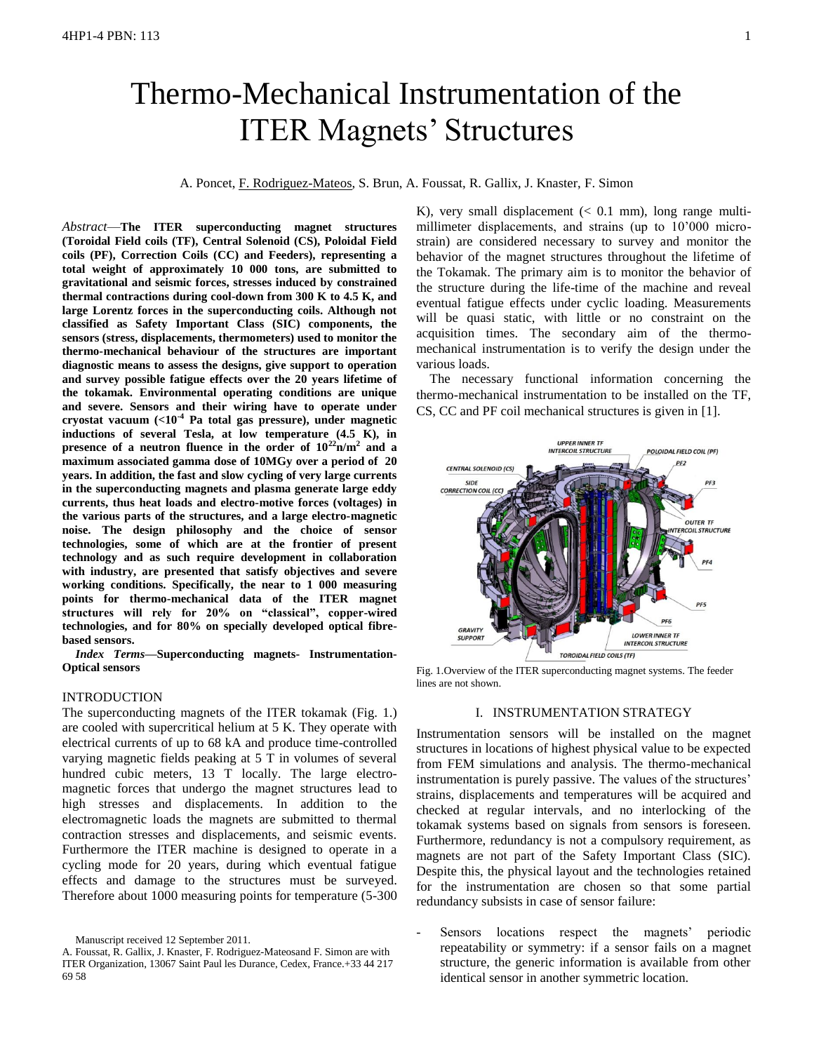# Thermo-Mechanical Instrumentation of the ITER Magnets' Structures

# A. Poncet, F. Rodriguez-Mateos, S. Brun, A. Foussat, R. Gallix, J. Knaster, F. Simon

*Abstract*—**The ITER superconducting magnet structures (Toroidal Field coils (TF), Central Solenoid (CS), Poloidal Field coils (PF), Correction Coils (CC) and Feeders), representing a total weight of approximately 10 000 tons, are submitted to gravitational and seismic forces, stresses induced by constrained thermal contractions during cool-down from 300 K to 4.5 K, and large Lorentz forces in the superconducting coils. Although not classified as Safety Important Class (SIC) components, the sensors (stress, displacements, thermometers) used to monitor the thermo-mechanical behaviour of the structures are important diagnostic means to assess the designs, give support to operation and survey possible fatigue effects over the 20 years lifetime of the tokamak. Environmental operating conditions are unique and severe. Sensors and their wiring have to operate under cryostat vacuum (<10-4 Pa total gas pressure), under magnetic inductions of several Tesla, at low temperature (4.5 K), in presence of a neutron fluence in the order of 10<sup>22</sup>n/m<sup>2</sup> and a maximum associated gamma dose of 10MGy over a period of 20 years. In addition, the fast and slow cycling of very large currents in the superconducting magnets and plasma generate large eddy currents, thus heat loads and electro-motive forces (voltages) in the various parts of the structures, and a large electro-magnetic noise. The design philosophy and the choice of sensor technologies, some of which are at the frontier of present technology and as such require development in collaboration with industry, are presented that satisfy objectives and severe working conditions. Specifically, the near to 1 000 measuring points for thermo-mechanical data of the ITER magnet structures will rely for 20% on "classical", copper-wired technologies, and for 80% on specially developed optical fibrebased sensors.**

*Index Terms***—Superconducting magnets- Instrumentation-Optical sensors**

# INTRODUCTION

The superconducting magnets of the ITER tokamak (Fig. 1.) are cooled with supercritical helium at 5 K. They operate with electrical currents of up to 68 kA and produce time-controlled varying magnetic fields peaking at 5 T in volumes of several hundred cubic meters, 13 T locally. The large electromagnetic forces that undergo the magnet structures lead to high stresses and displacements. In addition to the electromagnetic loads the magnets are submitted to thermal contraction stresses and displacements, and seismic events. Furthermore the ITER machine is designed to operate in a cycling mode for 20 years, during which eventual fatigue effects and damage to the structures must be surveyed. Therefore about 1000 measuring points for temperature (5-300

K), very small displacement  $( $0.1 \text{ mm}$ ), long range multi$ millimeter displacements, and strains (up to 10'000 microstrain) are considered necessary to survey and monitor the behavior of the magnet structures throughout the lifetime of the Tokamak. The primary aim is to monitor the behavior of the structure during the life-time of the machine and reveal eventual fatigue effects under cyclic loading. Measurements will be quasi static, with little or no constraint on the acquisition times. The secondary aim of the thermomechanical instrumentation is to verify the design under the various loads.

The necessary functional information concerning the thermo-mechanical instrumentation to be installed on the TF, CS, CC and PF coil mechanical structures is given in [1].



Fig. 1.Overview of the ITER superconducting magnet systems. The feeder lines are not shown.

## I. INSTRUMENTATION STRATEGY

Instrumentation sensors will be installed on the magnet structures in locations of highest physical value to be expected from FEM simulations and analysis. The thermo-mechanical instrumentation is purely passive. The values of the structures' strains, displacements and temperatures will be acquired and checked at regular intervals, and no interlocking of the tokamak systems based on signals from sensors is foreseen. Furthermore, redundancy is not a compulsory requirement, as magnets are not part of the Safety Important Class (SIC). Despite this, the physical layout and the technologies retained for the instrumentation are chosen so that some partial redundancy subsists in case of sensor failure:

Sensors locations respect the magnets' periodic repeatability or symmetry: if a sensor fails on a magnet structure, the generic information is available from other identical sensor in another symmetric location.

Manuscript received 12 September 2011.

A. Foussat, R. Gallix, J. Knaster, F. Rodriguez-Mateosand F. Simon are with ITER Organization, 13067 Saint Paul les Durance, Cedex, France.+33 44 217 69 58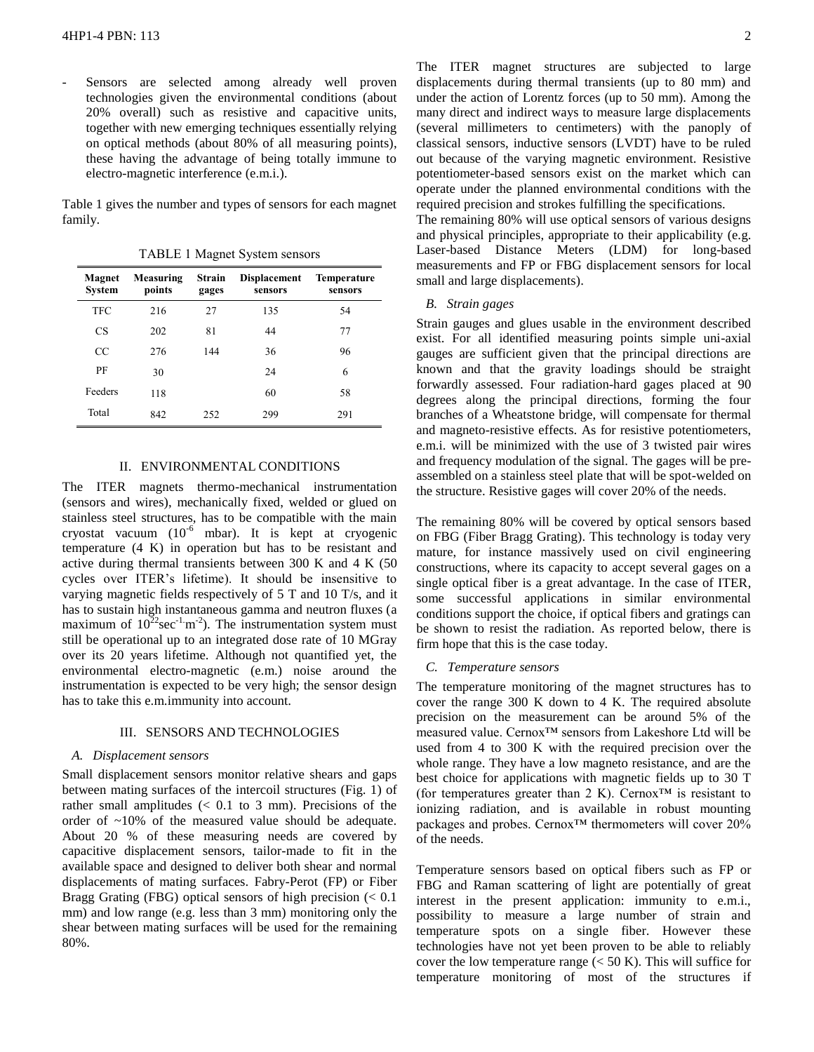Sensors are selected among already well proven technologies given the environmental conditions (about 20% overall) such as resistive and capacitive units, together with new emerging techniques essentially relying on optical methods (about 80% of all measuring points), these having the advantage of being totally immune to electro-magnetic interference (e.m.i.).

Table 1 gives the number and types of sensors for each magnet family.

**Magnet System Measuring points Strain gages Displacement sensors Temperature sensors** TFC 216 27 135 54 CS 202 81 44 77 CC 276 144 36 96 PF 30 24 6 Feeders 118 60 58 Total 842 252 299 291

TABLE 1 Magnet System sensors

# II. ENVIRONMENTAL CONDITIONS

The ITER magnets thermo-mechanical instrumentation (sensors and wires), mechanically fixed, welded or glued on stainless steel structures, has to be compatible with the main cryostat vacuum  $(10^{-6}$  mbar). It is kept at cryogenic temperature (4 K) in operation but has to be resistant and active during thermal transients between 300 K and 4 K (50 cycles over ITER's lifetime). It should be insensitive to varying magnetic fields respectively of 5 T and 10 T/s, and it has to sustain high instantaneous gamma and neutron fluxes (a maximum of  $10^{22}$ sec<sup>-1</sup>·m<sup>-2</sup>). The instrumentation system must still be operational up to an integrated dose rate of 10 MGray over its 20 years lifetime. Although not quantified yet, the environmental electro-magnetic (e.m.) noise around the instrumentation is expected to be very high; the sensor design has to take this e.m.immunity into account.

#### III. SENSORS AND TECHNOLOGIES

#### *A. Displacement sensors*

Small displacement sensors monitor relative shears and gaps between mating surfaces of the intercoil structures (Fig. 1) of rather small amplitudes  $\langle 0.1 \rangle$  to 3 mm). Precisions of the order of ~10% of the measured value should be adequate. About 20 % of these measuring needs are covered by capacitive displacement sensors, tailor-made to fit in the available space and designed to deliver both shear and normal displacements of mating surfaces. Fabry-Perot (FP) or Fiber Bragg Grating (FBG) optical sensors of high precision  $\ll 0.1$ mm) and low range (e.g. less than 3 mm) monitoring only the shear between mating surfaces will be used for the remaining 80%.

The ITER magnet structures are subjected to large displacements during thermal transients (up to 80 mm) and under the action of Lorentz forces (up to 50 mm). Among the many direct and indirect ways to measure large displacements (several millimeters to centimeters) with the panoply of classical sensors, inductive sensors (LVDT) have to be ruled out because of the varying magnetic environment. Resistive potentiometer-based sensors exist on the market which can operate under the planned environmental conditions with the required precision and strokes fulfilling the specifications.

The remaining 80% will use optical sensors of various designs and physical principles, appropriate to their applicability (e.g. Laser-based Distance Meters (LDM) for long-based measurements and FP or FBG displacement sensors for local small and large displacements).

## *B. Strain gages*

Strain gauges and glues usable in the environment described exist. For all identified measuring points simple uni-axial gauges are sufficient given that the principal directions are known and that the gravity loadings should be straight forwardly assessed. Four radiation-hard gages placed at 90 degrees along the principal directions, forming the four branches of a Wheatstone bridge, will compensate for thermal and magneto-resistive effects. As for resistive potentiometers, e.m.i. will be minimized with the use of 3 twisted pair wires and frequency modulation of the signal. The gages will be preassembled on a stainless steel plate that will be spot-welded on the structure. Resistive gages will cover 20% of the needs.

The remaining 80% will be covered by optical sensors based on FBG (Fiber Bragg Grating). This technology is today very mature, for instance massively used on civil engineering constructions, where its capacity to accept several gages on a single optical fiber is a great advantage. In the case of ITER, some successful applications in similar environmental conditions support the choice, if optical fibers and gratings can be shown to resist the radiation. As reported below, there is firm hope that this is the case today.

## *C. Temperature sensors*

The temperature monitoring of the magnet structures has to cover the range 300 K down to 4 K. The required absolute precision on the measurement can be around 5% of the measured value. Cernox™ sensors from Lakeshore Ltd will be used from 4 to 300 K with the required precision over the whole range. They have a low magneto resistance, and are the best choice for applications with magnetic fields up to 30 T (for temperatures greater than 2 K). Cernox<sup>™</sup> is resistant to ionizing radiation, and is available in robust mounting packages and probes. Cernox™ thermometers will cover 20% of the needs.

Temperature sensors based on optical fibers such as FP or FBG and Raman scattering of light are potentially of great interest in the present application: immunity to e.m.i., possibility to measure a large number of strain and temperature spots on a single fiber. However these technologies have not yet been proven to be able to reliably cover the low temperature range  $(< 50 K)$ . This will suffice for temperature monitoring of most of the structures if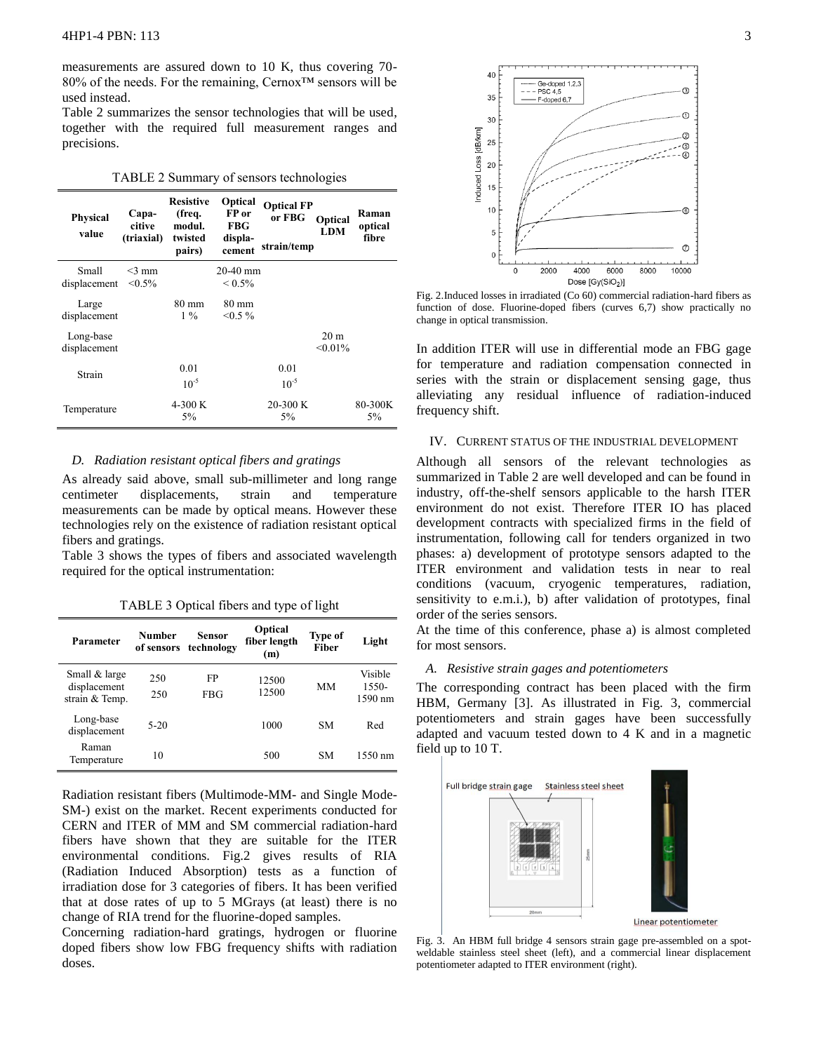measurements are assured down to 10 K, thus covering 70- 80% of the needs. For the remaining, Cernox™ sensors will be used instead.

Table 2 summarizes the sensor technologies that will be used, together with the required full measurement ranges and precisions.

|  |  |  | TABLE 2 Summary of sensors technologies |  |  |
|--|--|--|-----------------------------------------|--|--|
|--|--|--|-----------------------------------------|--|--|

| <b>Physical</b><br>value  | Capa-<br>citive<br>(triaxial) | <b>Resistive</b><br>(freq.<br>modul.<br>twisted<br>pairs) | Optical<br>FP or<br><b>FBG</b><br>displa-<br>cement | <b>Optical FP</b><br>or FBG<br>strain/temp | Optical<br><b>LDM</b>         | Raman<br>optical<br>fibre |
|---------------------------|-------------------------------|-----------------------------------------------------------|-----------------------------------------------------|--------------------------------------------|-------------------------------|---------------------------|
| Small<br>displacement     | $<$ 3 mm<br>$< 0.5\%$         |                                                           | $20-40$ mm<br>${}_{\leq 0.5\%}$                     |                                            |                               |                           |
| Large<br>displacement     |                               | 80 mm<br>$1\%$                                            | 80 mm<br>$< 0.5 \%$                                 |                                            |                               |                           |
| Long-base<br>displacement |                               |                                                           |                                                     |                                            | 20 <sub>m</sub><br>$< 0.01\%$ |                           |
| Strain                    |                               | 0.01<br>$10^{-5}$                                         |                                                     | 0.01<br>$10^{-5}$                          |                               |                           |
| Temperature               |                               | 4-300 K<br>$5\%$                                          |                                                     | $20-300K$<br>5%                            |                               | 80-300K<br>$5\%$          |

## *D. Radiation resistant optical fibers and gratings*

As already said above, small sub-millimeter and long range centimeter displacements, strain and temperature measurements can be made by optical means. However these technologies rely on the existence of radiation resistant optical fibers and gratings.

Table 3 shows the types of fibers and associated wavelength required for the optical instrumentation:

TABLE 3 Optical fibers and type of light

| Parameter                                       | Number     | Sensor<br>of sensors technology | Optical<br>fiber length<br>(m) | <b>Type of</b><br>Fiber | Light                         |
|-------------------------------------------------|------------|---------------------------------|--------------------------------|-------------------------|-------------------------------|
| Small & large<br>displacement<br>strain & Temp. | 250<br>250 | FP<br>FBG                       | 12500<br>12500                 | MМ                      | Visible<br>$1550-$<br>1590 nm |
| Long-base<br>displacement                       | $5-20$     |                                 | 1000                           | SМ                      | Red                           |
| Raman<br>Temperature                            | 10         |                                 | 500                            | <b>SM</b>               | 1550 nm                       |

Radiation resistant fibers (Multimode-MM- and Single Mode-SM-) exist on the market. Recent experiments conducted for CERN and ITER of MM and SM commercial radiation-hard fibers have shown that they are suitable for the ITER environmental conditions. Fig.2 gives results of RIA (Radiation Induced Absorption) tests as a function of irradiation dose for 3 categories of fibers. It has been verified that at dose rates of up to 5 MGrays (at least) there is no change of RIA trend for the fluorine-doped samples.

Concerning radiation-hard gratings, hydrogen or fluorine doped fibers show low FBG frequency shifts with radiation doses.



Fig. 2.Induced losses in irradiated (Co 60) commercial radiation-hard fibers as function of dose. Fluorine-doped fibers (curves 6,7) show practically no change in optical transmission.

In addition ITER will use in differential mode an FBG gage for temperature and radiation compensation connected in series with the strain or displacement sensing gage, thus alleviating any residual influence of radiation-induced frequency shift.

## IV. CURRENT STATUS OF THE INDUSTRIAL DEVELOPMENT

Although all sensors of the relevant technologies as summarized in Table 2 are well developed and can be found in industry, off-the-shelf sensors applicable to the harsh ITER environment do not exist. Therefore ITER IO has placed development contracts with specialized firms in the field of instrumentation, following call for tenders organized in two phases: a) development of prototype sensors adapted to the ITER environment and validation tests in near to real conditions (vacuum, cryogenic temperatures, radiation, sensitivity to e.m.i.), b) after validation of prototypes, final order of the series sensors.

At the time of this conference, phase a) is almost completed for most sensors.

## *A. Resistive strain gages and potentiometers*

The corresponding contract has been placed with the firm HBM, Germany [3]. As illustrated in Fig. 3, commercial potentiometers and strain gages have been successfully adapted and vacuum tested down to 4 K and in a magnetic field up to 10 T.



Fig. 3. An HBM full bridge 4 sensors strain gage pre-assembled on a spotweldable stainless steel sheet (left), and a commercial linear displacement potentiometer adapted to ITER environment (right).